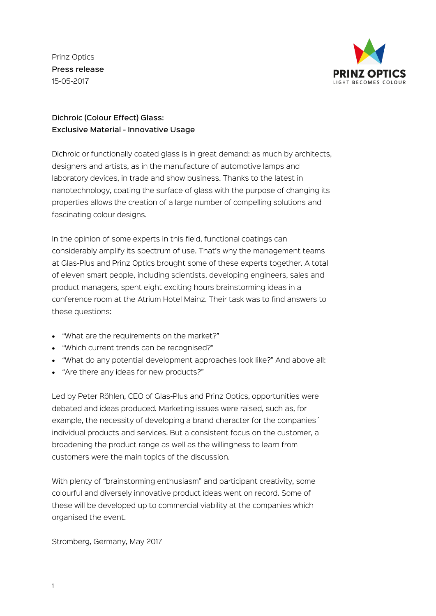Prinz Optics Press release 15-05-2017



## Dichroic (Colour Effect) Glass: Exclusive Material - Innovative Usage

Dichroic or functionally coated glass is in great demand: as much by architects, designers and artists, as in the manufacture of automotive lamps and laboratory devices, in trade and show business. Thanks to the latest in nanotechnology, coating the surface of glass with the purpose of changing its properties allows the creation of a large number of compelling solutions and fascinating colour designs.

In the opinion of some experts in this field, functional coatings can considerably amplify its spectrum of use. That's why the management teams at Glas-Plus and Prinz Optics brought some of these experts together. A total of eleven smart people, including scientists, developing engineers, sales and product managers, spent eight exciting hours brainstorming ideas in a conference room at the Atrium Hotel Mainz. Their task was to find answers to these questions:

- "What are the requirements on the market?"
- "Which current trends can be recognised?"
- "What do any potential development approaches look like?" And above all:
- "Are there any ideas for new products?"

Led by Peter Röhlen, CEO of Glas-Plus and Prinz Optics, opportunities were debated and ideas produced. Marketing issues were raised, such as, for example, the necessity of developing a brand character for the companies´ individual products and services. But a consistent focus on the customer, a broadening the product range as well as the willingness to learn from customers were the main topics of the discussion.

With plenty of "brainstorming enthusiasm" and participant creativity, some colourful and diversely innovative product ideas went on record. Some of these will be developed up to commercial viability at the companies which organised the event.

Stromberg, Germany, May 2017